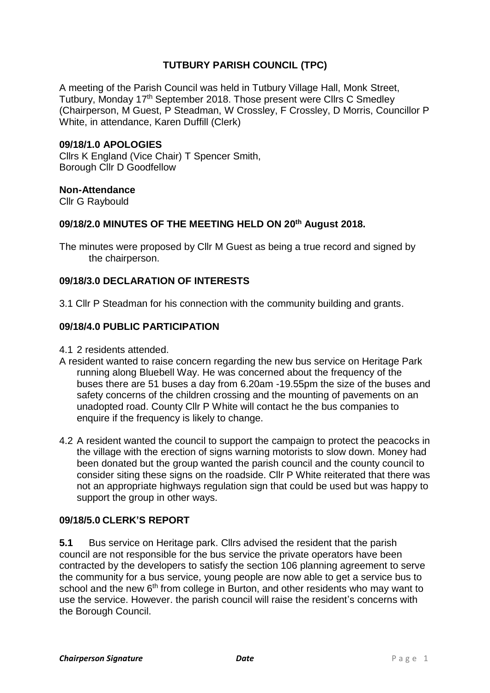# **TUTBURY PARISH COUNCIL (TPC)**

A meeting of the Parish Council was held in Tutbury Village Hall, Monk Street, Tutbury, Monday 17<sup>th</sup> September 2018. Those present were Cllrs C Smedley (Chairperson, M Guest, P Steadman, W Crossley, F Crossley, D Morris, Councillor P White, in attendance, Karen Duffill (Clerk)

## **09/18/1.0 APOLOGIES**

Cllrs K England (Vice Chair) T Spencer Smith, Borough Cllr D Goodfellow

## **Non-Attendance**

Cllr G Raybould

## **09/18/2.0 MINUTES OF THE MEETING HELD ON 20 th August 2018.**

The minutes were proposed by Cllr M Guest as being a true record and signed by the chairperson.

## **09/18/3.0 DECLARATION OF INTERESTS**

3.1 Cllr P Steadman for his connection with the community building and grants.

# **09/18/4.0 PUBLIC PARTICIPATION**

- 4.1 2 residents attended.
- A resident wanted to raise concern regarding the new bus service on Heritage Park running along Bluebell Way. He was concerned about the frequency of the buses there are 51 buses a day from 6.20am -19.55pm the size of the buses and safety concerns of the children crossing and the mounting of pavements on an unadopted road. County Cllr P White will contact he the bus companies to enquire if the frequency is likely to change.
- 4.2 A resident wanted the council to support the campaign to protect the peacocks in the village with the erection of signs warning motorists to slow down. Money had been donated but the group wanted the parish council and the county council to consider siting these signs on the roadside. Cllr P White reiterated that there was not an appropriate highways regulation sign that could be used but was happy to support the group in other ways.

# **09/18/5.0 CLERK'S REPORT**

**5.1** Bus service on Heritage park. Cllrs advised the resident that the parish council are not responsible for the bus service the private operators have been contracted by the developers to satisfy the section 106 planning agreement to serve the community for a bus service, young people are now able to get a service bus to school and the new 6<sup>th</sup> from college in Burton, and other residents who may want to use the service. However. the parish council will raise the resident's concerns with the Borough Council.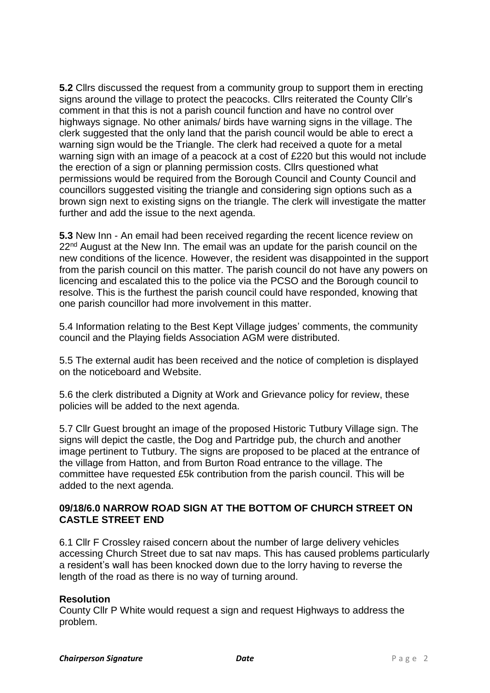**5.2** Cllrs discussed the request from a community group to support them in erecting signs around the village to protect the peacocks. Cllrs reiterated the County Cllr's comment in that this is not a parish council function and have no control over highways signage. No other animals/ birds have warning signs in the village. The clerk suggested that the only land that the parish council would be able to erect a warning sign would be the Triangle. The clerk had received a quote for a metal warning sign with an image of a peacock at a cost of £220 but this would not include the erection of a sign or planning permission costs. Cllrs questioned what permissions would be required from the Borough Council and County Council and councillors suggested visiting the triangle and considering sign options such as a brown sign next to existing signs on the triangle. The clerk will investigate the matter further and add the issue to the next agenda.

**5.3** New Inn - An email had been received regarding the recent licence review on 22<sup>nd</sup> August at the New Inn. The email was an update for the parish council on the new conditions of the licence. However, the resident was disappointed in the support from the parish council on this matter. The parish council do not have any powers on licencing and escalated this to the police via the PCSO and the Borough council to resolve. This is the furthest the parish council could have responded, knowing that one parish councillor had more involvement in this matter.

5.4 Information relating to the Best Kept Village judges' comments, the community council and the Playing fields Association AGM were distributed.

5.5 The external audit has been received and the notice of completion is displayed on the noticeboard and Website.

5.6 the clerk distributed a Dignity at Work and Grievance policy for review, these policies will be added to the next agenda.

5.7 Cllr Guest brought an image of the proposed Historic Tutbury Village sign. The signs will depict the castle, the Dog and Partridge pub, the church and another image pertinent to Tutbury. The signs are proposed to be placed at the entrance of the village from Hatton, and from Burton Road entrance to the village. The committee have requested £5k contribution from the parish council. This will be added to the next agenda.

# **09/18/6.0 NARROW ROAD SIGN AT THE BOTTOM OF CHURCH STREET ON CASTLE STREET END**

6.1 Cllr F Crossley raised concern about the number of large delivery vehicles accessing Church Street due to sat nav maps. This has caused problems particularly a resident's wall has been knocked down due to the lorry having to reverse the length of the road as there is no way of turning around.

# **Resolution**

County Cllr P White would request a sign and request Highways to address the problem.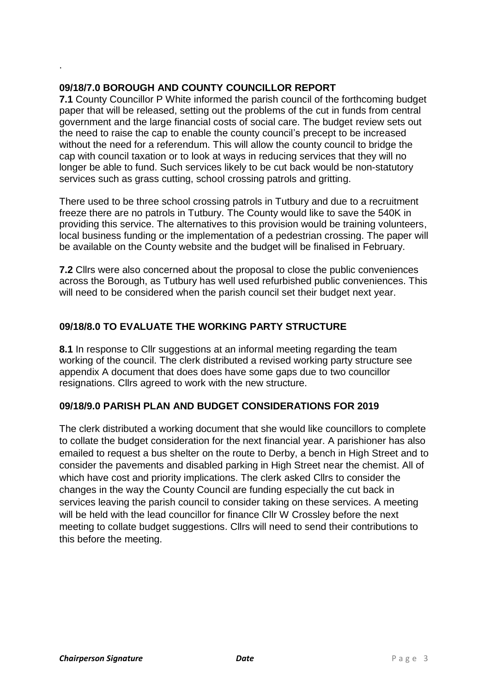# **09/18/7.0 BOROUGH AND COUNTY COUNCILLOR REPORT**

.

**7.1** County Councillor P White informed the parish council of the forthcoming budget paper that will be released, setting out the problems of the cut in funds from central government and the large financial costs of social care. The budget review sets out the need to raise the cap to enable the county council's precept to be increased without the need for a referendum. This will allow the county council to bridge the cap with council taxation or to look at ways in reducing services that they will no longer be able to fund. Such services likely to be cut back would be non-statutory services such as grass cutting, school crossing patrols and gritting.

There used to be three school crossing patrols in Tutbury and due to a recruitment freeze there are no patrols in Tutbury. The County would like to save the 540K in providing this service. The alternatives to this provision would be training volunteers, local business funding or the implementation of a pedestrian crossing. The paper will be available on the County website and the budget will be finalised in February.

**7.2** Cllrs were also concerned about the proposal to close the public conveniences across the Borough, as Tutbury has well used refurbished public conveniences. This will need to be considered when the parish council set their budget next year.

# **09/18/8.0 TO EVALUATE THE WORKING PARTY STRUCTURE**

**8.1** In response to CIIr suggestions at an informal meeting regarding the team working of the council. The clerk distributed a revised working party structure see appendix A document that does does have some gaps due to two councillor resignations. Cllrs agreed to work with the new structure.

# **09/18/9.0 PARISH PLAN AND BUDGET CONSIDERATIONS FOR 2019**

The clerk distributed a working document that she would like councillors to complete to collate the budget consideration for the next financial year. A parishioner has also emailed to request a bus shelter on the route to Derby, a bench in High Street and to consider the pavements and disabled parking in High Street near the chemist. All of which have cost and priority implications. The clerk asked Cllrs to consider the changes in the way the County Council are funding especially the cut back in services leaving the parish council to consider taking on these services. A meeting will be held with the lead councillor for finance Cllr W Crossley before the next meeting to collate budget suggestions. Cllrs will need to send their contributions to this before the meeting.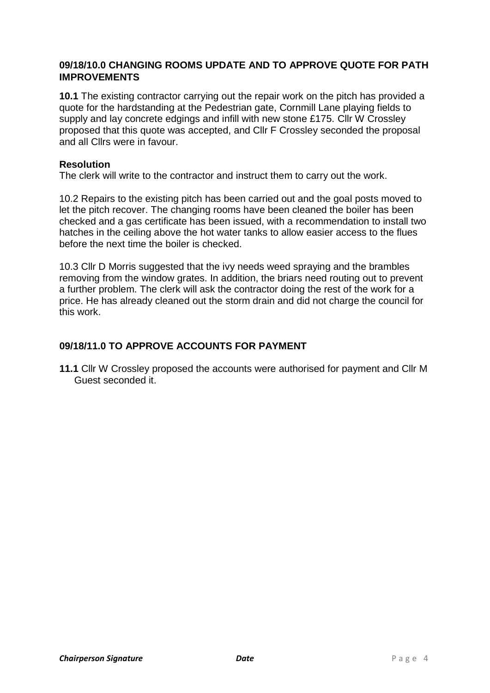# **09/18/10.0 CHANGING ROOMS UPDATE AND TO APPROVE QUOTE FOR PATH IMPROVEMENTS**

**10.1** The existing contractor carrying out the repair work on the pitch has provided a quote for the hardstanding at the Pedestrian gate, Cornmill Lane playing fields to supply and lay concrete edgings and infill with new stone £175. Cllr W Crossley proposed that this quote was accepted, and Cllr F Crossley seconded the proposal and all Cllrs were in favour.

## **Resolution**

The clerk will write to the contractor and instruct them to carry out the work.

10.2 Repairs to the existing pitch has been carried out and the goal posts moved to let the pitch recover. The changing rooms have been cleaned the boiler has been checked and a gas certificate has been issued, with a recommendation to install two hatches in the ceiling above the hot water tanks to allow easier access to the flues before the next time the boiler is checked.

10.3 Cllr D Morris suggested that the ivy needs weed spraying and the brambles removing from the window grates. In addition, the briars need routing out to prevent a further problem. The clerk will ask the contractor doing the rest of the work for a price. He has already cleaned out the storm drain and did not charge the council for this work.

# **09/18/11.0 TO APPROVE ACCOUNTS FOR PAYMENT**

**11.1** Cllr W Crossley proposed the accounts were authorised for payment and Cllr M Guest seconded it.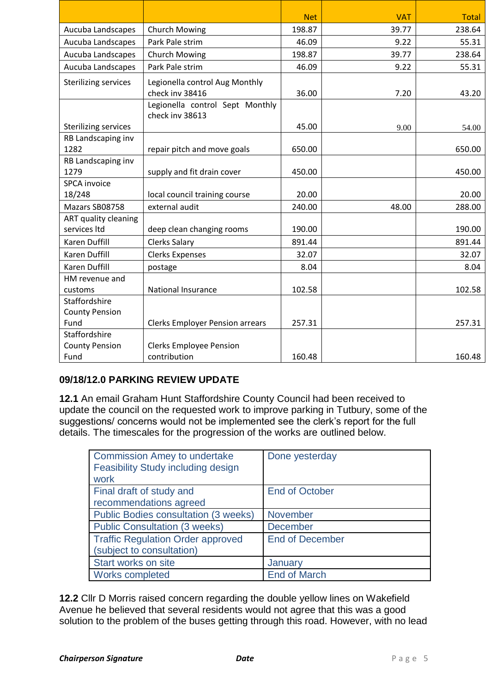|                             |                                        | <b>Net</b> | <b>VAT</b> | <b>Total</b> |
|-----------------------------|----------------------------------------|------------|------------|--------------|
| Aucuba Landscapes           | <b>Church Mowing</b>                   | 198.87     | 39.77      | 238.64       |
| Aucuba Landscapes           | Park Pale strim                        | 46.09      | 9.22       | 55.31        |
| Aucuba Landscapes           | <b>Church Mowing</b>                   | 198.87     | 39.77      | 238.64       |
| Aucuba Landscapes           | Park Pale strim                        | 46.09      | 9.22       | 55.31        |
| <b>Sterilizing services</b> | Legionella control Aug Monthly         |            |            |              |
|                             | check inv 38416                        | 36.00      | 7.20       | 43.20        |
|                             | Legionella control Sept Monthly        |            |            |              |
|                             | check inv 38613                        |            |            |              |
| <b>Sterilizing services</b> |                                        | 45.00      | 9.00       | 54.00        |
| RB Landscaping inv          |                                        |            |            |              |
| 1282                        | repair pitch and move goals            | 650.00     |            | 650.00       |
| RB Landscaping inv          |                                        |            |            |              |
| 1279                        | supply and fit drain cover             | 450.00     |            | 450.00       |
| <b>SPCA</b> invoice         |                                        |            |            |              |
| 18/248                      | local council training course          | 20.00      |            | 20.00        |
| Mazars SB08758              | external audit                         | 240.00     | 48.00      | 288.00       |
| ART quality cleaning        |                                        |            |            |              |
| services Itd                | deep clean changing rooms              | 190.00     |            | 190.00       |
| Karen Duffill               | <b>Clerks Salary</b>                   | 891.44     |            | 891.44       |
| <b>Karen Duffill</b>        | <b>Clerks Expenses</b>                 | 32.07      |            | 32.07        |
| <b>Karen Duffill</b>        | postage                                | 8.04       |            | 8.04         |
| HM revenue and              |                                        |            |            |              |
| customs                     | <b>National Insurance</b>              | 102.58     |            | 102.58       |
| Staffordshire               |                                        |            |            |              |
| <b>County Pension</b>       |                                        |            |            |              |
| Fund                        | <b>Clerks Employer Pension arrears</b> | 257.31     |            | 257.31       |
| Staffordshire               |                                        |            |            |              |
| <b>County Pension</b>       | <b>Clerks Employee Pension</b>         |            |            |              |
| Fund                        | contribution                           | 160.48     |            | 160.48       |

# **09/18/12.0 PARKING REVIEW UPDATE**

**12.1** An email Graham Hunt Staffordshire County Council had been received to update the council on the requested work to improve parking in Tutbury, some of the suggestions/ concerns would not be implemented see the clerk's report for the full details. The timescales for the progression of the works are outlined below.

| <b>Commission Amey to undertake</b><br>Feasibility Study including design<br>work | Done yesterday         |
|-----------------------------------------------------------------------------------|------------------------|
| Final draft of study and                                                          | <b>End of October</b>  |
| recommendations agreed                                                            |                        |
| Public Bodies consultation (3 weeks)                                              | <b>November</b>        |
| <b>Public Consultation (3 weeks)</b>                                              | <b>December</b>        |
| <b>Traffic Regulation Order approved</b>                                          | <b>End of December</b> |
| (subject to consultation)                                                         |                        |
| Start works on site                                                               | January                |
| <b>Works completed</b>                                                            | <b>End of March</b>    |

**12.2** Cllr D Morris raised concern regarding the double yellow lines on Wakefield Avenue he believed that several residents would not agree that this was a good solution to the problem of the buses getting through this road. However, with no lead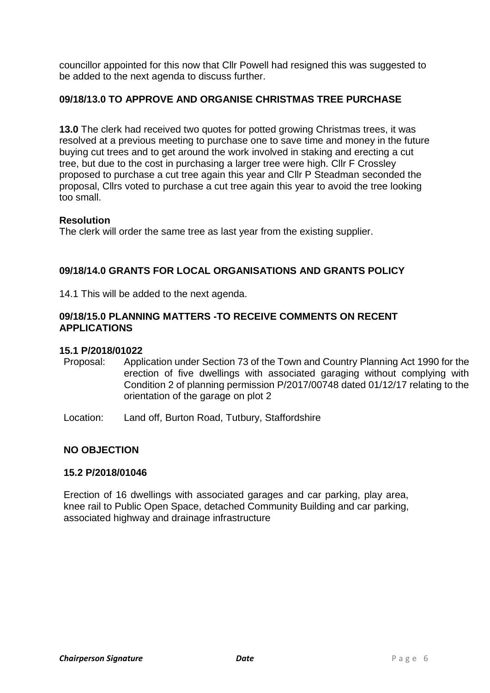councillor appointed for this now that Cllr Powell had resigned this was suggested to be added to the next agenda to discuss further.

# **09/18/13.0 TO APPROVE AND ORGANISE CHRISTMAS TREE PURCHASE**

**13.0** The clerk had received two quotes for potted growing Christmas trees, it was resolved at a previous meeting to purchase one to save time and money in the future buying cut trees and to get around the work involved in staking and erecting a cut tree, but due to the cost in purchasing a larger tree were high. Cllr F Crossley proposed to purchase a cut tree again this year and Cllr P Steadman seconded the proposal, Cllrs voted to purchase a cut tree again this year to avoid the tree looking too small.

## **Resolution**

The clerk will order the same tree as last year from the existing supplier.

# **09/18/14.0 GRANTS FOR LOCAL ORGANISATIONS AND GRANTS POLICY**

14.1 This will be added to the next agenda.

## **09/18/15.0 PLANNING MATTERS -TO RECEIVE COMMENTS ON RECENT APPLICATIONS**

#### **15.1 P/2018/01022**

- Proposal: Application under Section 73 of the Town and Country Planning Act 1990 for the erection of five dwellings with associated garaging without complying with Condition 2 of planning permission P/2017/00748 dated 01/12/17 relating to the orientation of the garage on plot 2
- Location: Land off, Burton Road, Tutbury, Staffordshire

# **NO OBJECTION**

#### **15.2 P/2018/01046**

Erection of 16 dwellings with associated garages and car parking, play area, knee rail to Public Open Space, detached Community Building and car parking, associated highway and drainage infrastructure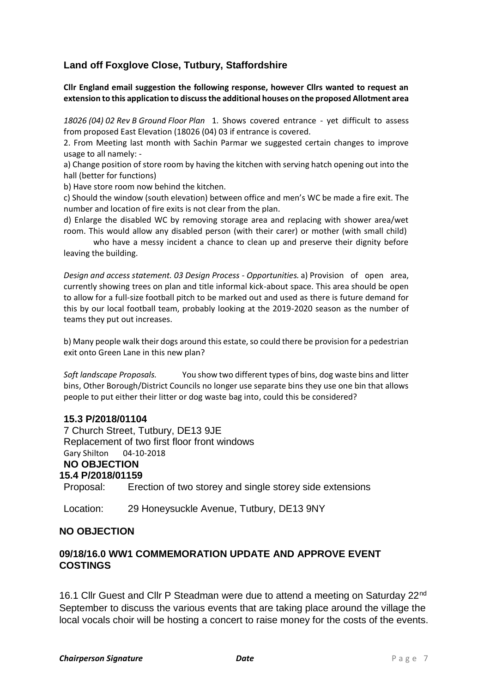# **Land off Foxglove Close, Tutbury, Staffordshire**

**Cllr England email suggestion the following response, however Cllrs wanted to request an extension to this application to discuss the additional houses on the proposed Allotment area**

*18026 (04) 02 Rev B Ground Floor Plan* 1. Shows covered entrance - yet difficult to assess from proposed East Elevation (18026 (04) 03 if entrance is covered.

2. From Meeting last month with Sachin Parmar we suggested certain changes to improve usage to all namely: -

a) Change position of store room by having the kitchen with serving hatch opening out into the hall (better for functions)

b) Have store room now behind the kitchen.

c) Should the window (south elevation) between office and men's WC be made a fire exit. The number and location of fire exits is not clear from the plan.

d) Enlarge the disabled WC by removing storage area and replacing with shower area/wet room. This would allow any disabled person (with their carer) or mother (with small child)

who have a messy incident a chance to clean up and preserve their dignity before leaving the building.

*Design and access statement. 03 Design Process - Opportunities.* a) Provision of open area, currently showing trees on plan and title informal kick-about space. This area should be open to allow for a full-size football pitch to be marked out and used as there is future demand for this by our local football team, probably looking at the 2019-2020 season as the number of teams they put out increases.

b) Many people walk their dogs around this estate, so could there be provision for a pedestrian exit onto Green Lane in this new plan?

*Soft landscape Proposals.* You show two different types of bins, dog waste bins and litter bins, Other Borough/District Councils no longer use separate bins they use one bin that allows people to put either their litter or dog waste bag into, could this be considered?

#### **15.3 P/2018/01104**

7 Church Street, Tutbury, DE13 9JE Replacement of two first floor front windows Gary Shilton 04-10-2018 **NO OBJECTION 15.4 P/2018/01159** Proposal: Erection of two storey and single storey side extensions

Location: 29 Honeysuckle Avenue, Tutbury, DE13 9NY

#### **NO OBJECTION**

# **09/18/16.0 WW1 COMMEMORATION UPDATE AND APPROVE EVENT COSTINGS**

16.1 Cllr Guest and Cllr P Steadman were due to attend a meeting on Saturday 22nd September to discuss the various events that are taking place around the village the local vocals choir will be hosting a concert to raise money for the costs of the events.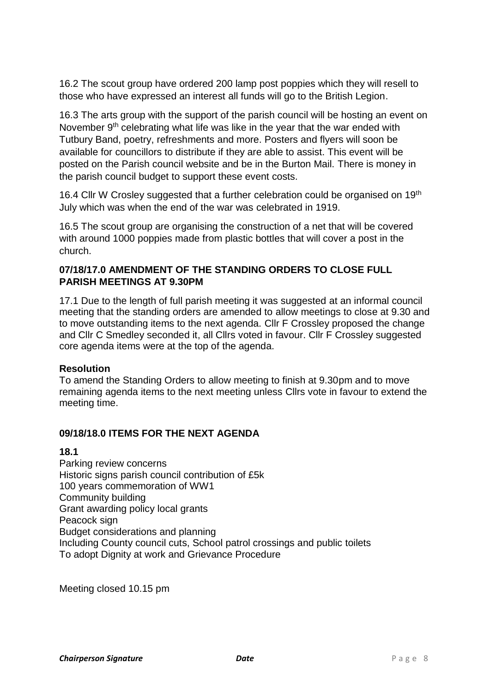16.2 The scout group have ordered 200 lamp post poppies which they will resell to those who have expressed an interest all funds will go to the British Legion.

16.3 The arts group with the support of the parish council will be hosting an event on November 9<sup>th</sup> celebrating what life was like in the year that the war ended with Tutbury Band, poetry, refreshments and more. Posters and flyers will soon be available for councillors to distribute if they are able to assist. This event will be posted on the Parish council website and be in the Burton Mail. There is money in the parish council budget to support these event costs.

16.4 Cllr W Crosley suggested that a further celebration could be organised on 19th July which was when the end of the war was celebrated in 1919.

16.5 The scout group are organising the construction of a net that will be covered with around 1000 poppies made from plastic bottles that will cover a post in the church.

# **07/18/17.0 AMENDMENT OF THE STANDING ORDERS TO CLOSE FULL PARISH MEETINGS AT 9.30PM**

17.1 Due to the length of full parish meeting it was suggested at an informal council meeting that the standing orders are amended to allow meetings to close at 9.30 and to move outstanding items to the next agenda. Cllr F Crossley proposed the change and Cllr C Smedley seconded it, all Cllrs voted in favour. Cllr F Crossley suggested core agenda items were at the top of the agenda.

# **Resolution**

To amend the Standing Orders to allow meeting to finish at 9.30pm and to move remaining agenda items to the next meeting unless Cllrs vote in favour to extend the meeting time.

# **09/18/18.0 ITEMS FOR THE NEXT AGENDA**

## **18.1**

Parking review concerns Historic signs parish council contribution of £5k 100 years commemoration of WW1 Community building Grant awarding policy local grants Peacock sign Budget considerations and planning Including County council cuts, School patrol crossings and public toilets To adopt Dignity at work and Grievance Procedure

Meeting closed 10.15 pm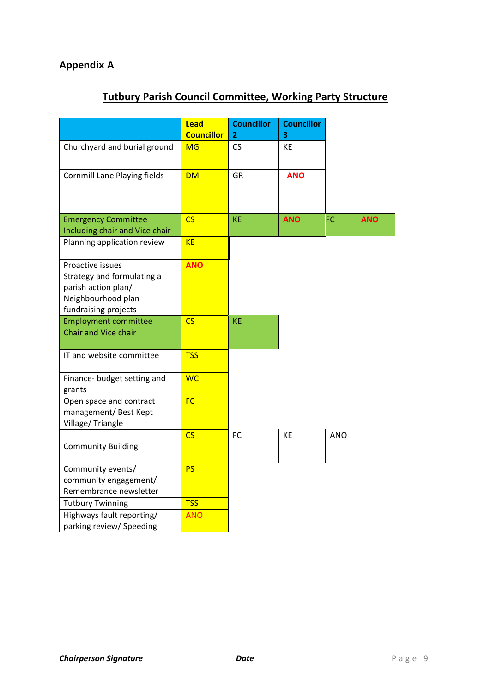# **Appendix A**

# **Tutbury Parish Council Committee, Working Party Structure**

|                                                                                                                     | <b>Lead</b><br><b>Councillor</b> | <b>Councillor</b><br>$\mathbf{2}$ | <b>Councillor</b><br>3 |            |            |
|---------------------------------------------------------------------------------------------------------------------|----------------------------------|-----------------------------------|------------------------|------------|------------|
| Churchyard and burial ground                                                                                        | <b>MG</b>                        | CS                                | KE                     |            |            |
| <b>Cornmill Lane Playing fields</b>                                                                                 | <b>DM</b>                        | GR                                | <b>ANO</b>             |            |            |
| <b>Emergency Committee</b><br>Including chair and Vice chair                                                        | $\overline{\text{CS}}$           | KE                                | <b>ANO</b>             | FC         | <b>ANO</b> |
| Planning application review                                                                                         | <b>KE</b>                        |                                   |                        |            |            |
| Proactive issues<br>Strategy and formulating a<br>parish action plan/<br>Neighbourhood plan<br>fundraising projects | <b>ANO</b>                       |                                   |                        |            |            |
| <b>Employment committee</b><br><b>Chair and Vice chair</b>                                                          | $\overline{\text{CS}}$           | <b>KE</b>                         |                        |            |            |
| IT and website committee                                                                                            | <b>TSS</b>                       |                                   |                        |            |            |
| Finance- budget setting and<br>grants                                                                               | <b>WC</b>                        |                                   |                        |            |            |
| Open space and contract<br>management/Best Kept<br>Village/Triangle                                                 | <b>FC</b>                        |                                   |                        |            |            |
| <b>Community Building</b>                                                                                           | $\overline{\text{CS}}$           | FC                                | KE                     | <b>ANO</b> |            |
| Community events/<br>community engagement/<br>Remembrance newsletter                                                | <b>PS</b>                        |                                   |                        |            |            |
| <b>Tutbury Twinning</b>                                                                                             | <b>TSS</b>                       |                                   |                        |            |            |
| Highways fault reporting/<br>parking review/ Speeding                                                               | <b>ANO</b>                       |                                   |                        |            |            |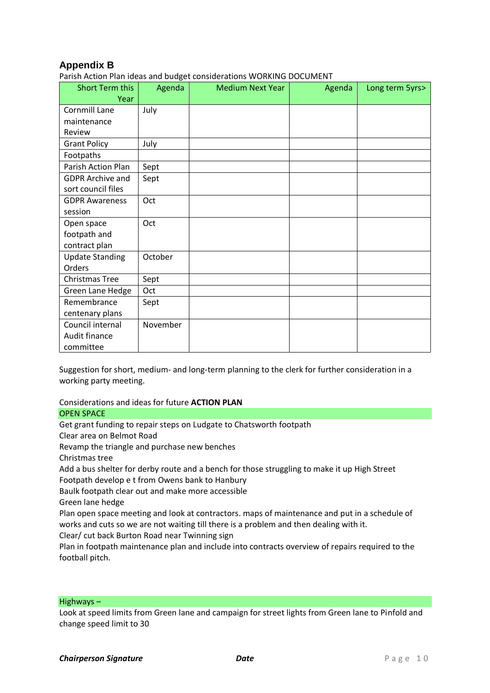# **Appendix B**

Parish Action Plan ideas and budget considerations WORKING DOCUMENT

| <b>Short Term this</b>  | Agenda   | <b>Medium Next Year</b> | Agenda | Long term 5yrs> |
|-------------------------|----------|-------------------------|--------|-----------------|
| Year                    |          |                         |        |                 |
| Cornmill Lane           | July     |                         |        |                 |
| maintenance             |          |                         |        |                 |
| Review                  |          |                         |        |                 |
| <b>Grant Policy</b>     | July     |                         |        |                 |
| Footpaths               |          |                         |        |                 |
| Parish Action Plan      | Sept     |                         |        |                 |
| <b>GDPR Archive and</b> | Sept     |                         |        |                 |
| sort council files      |          |                         |        |                 |
| <b>GDPR Awareness</b>   | Oct      |                         |        |                 |
| session                 |          |                         |        |                 |
| Open space              | Oct      |                         |        |                 |
| footpath and            |          |                         |        |                 |
| contract plan           |          |                         |        |                 |
| <b>Update Standing</b>  | October  |                         |        |                 |
| Orders                  |          |                         |        |                 |
| Christmas Tree          | Sept     |                         |        |                 |
| Green Lane Hedge        | Oct      |                         |        |                 |
| Remembrance             | Sept     |                         |        |                 |
| centenary plans         |          |                         |        |                 |
| Council internal        | November |                         |        |                 |
| Audit finance           |          |                         |        |                 |
| committee               |          |                         |        |                 |

Suggestion for short, medium- and long-term planning to the clerk for further consideration in a working party meeting.

Considerations and ideas for future **ACTION PLAN**

#### OPEN SPACE

Get grant funding to repair steps on Ludgate to Chatsworth footpath

Clear area on Belmot Road

Revamp the triangle and purchase new benches

Christmas tree

Add a bus shelter for derby route and a bench for those struggling to make it up High Street Footpath develop e t from Owens bank to Hanbury

Baulk footpath clear out and make more accessible

Green lane hedge

Plan open space meeting and look at contractors. maps of maintenance and put in a schedule of works and cuts so we are not waiting till there is a problem and then dealing with it.

Clear/ cut back Burton Road near Twinning sign

Plan in footpath maintenance plan and include into contracts overview of repairs required to the football pitch.

#### Highways –

Look at speed limits from Green lane and campaign for street lights from Green lane to Pinfold and change speed limit to 30